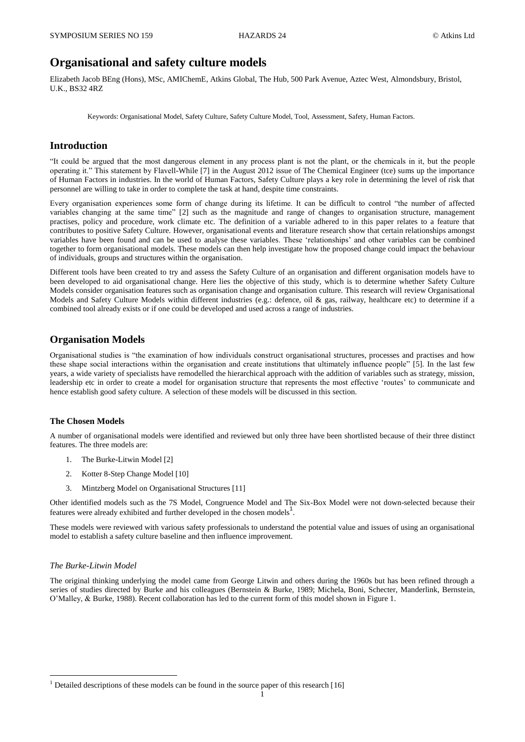# **Organisational and safety culture models**

Elizabeth Jacob BEng (Hons), MSc, AMIChemE, Atkins Global, The Hub, 500 Park Avenue, Aztec West, Almondsbury, Bristol, U.K., BS32 4RZ

Keywords: Organisational Model, Safety Culture, Safety Culture Model, Tool, Assessment, Safety, Human Factors.

## **Introduction**

"It could be argued that the most dangerous element in any process plant is not the plant, or the chemicals in it, but the people operating it." This statement by Flavell-While [\[7\]](#page-10-0) in the August 2012 issue of The Chemical Engineer (tce) sums up the importance of Human Factors in industries. In the world of Human Factors, Safety Culture plays a key role in determining the level of risk that personnel are willing to take in order to complete the task at hand, despite time constraints.

Every organisation experiences some form of change during its lifetime. It can be difficult to control "the number of affected variables changing at the same time" [\[2\]](#page-10-1) such as the magnitude and range of changes to organisation structure, management practises, policy and procedure, work climate etc. The definition of a variable adhered to in this paper relates to a feature that contributes to positive Safety Culture. However, organisational events and literature research show that certain relationships amongst variables have been found and can be used to analyse these variables. These 'relationships' and other variables can be combined together to form organisational models. These models can then help investigate how the proposed change could impact the behaviour of individuals, groups and structures within the organisation.

Different tools have been created to try and assess the Safety Culture of an organisation and different organisation models have to been developed to aid organisational change. Here lies the objective of this study, which is to determine whether Safety Culture Models consider organisation features such as organisation change and organisation culture. This research will review Organisational Models and Safety Culture Models within different industries (e.g.: defence, oil & gas, railway, healthcare etc) to determine if a combined tool already exists or if one could be developed and used across a range of industries.

## **Organisation Models**

Organisational studies is "the examination of how individuals construct organisational structures, processes and practises and how these shape social interactions within the organisation and create institutions that ultimately influence people" [\[5\]](#page-10-2). In the last few years, a wide variety of specialists have remodelled the hierarchical approach with the addition of variables such as strategy, mission, leadership etc in order to create a model for organisation structure that represents the most effective 'routes' to communicate and hence establish good safety culture. A selection of these models will be discussed in this section.

## **The Chosen Models**

A number of organisational models were identified and reviewed but only three have been shortlisted because of their three distinct features. The three models are:

- 1. The Burke-Litwin Model [\[2\]](#page-10-1)
- 2. Kotter 8-Step Change Model [\[10\]](#page-10-3)
- 3. Mintzberg Model on Organisational Structures [\[11\]](#page-10-4)

Other identified models such as the 7S Model, Congruence Model and The Six-Box Model were not down-selected because their features were already exhibited and further developed in the chosen models<sup>1</sup>.

These models were reviewed with various safety professionals to understand the potential value and issues of using an organisational model to establish a safety culture baseline and then influence improvement.

### *The Burke-Litwin Model*

1

The original thinking underlying the model came from George Litwin and others during the 1960s but has been refined through a series of studies directed by Burke and his colleagues (Bernstein & Burke, 1989; Michela, Boni, Schecter, Manderlink, Bernstein, O'Malley, & Burke, 1988). Recent collaboration has led to the current form of this model shown in [Figure 1.](#page-1-0)

<sup>&</sup>lt;sup>1</sup> Detailed descriptions of these models can be found in the source paper of this research [\[16\]](#page-10-5)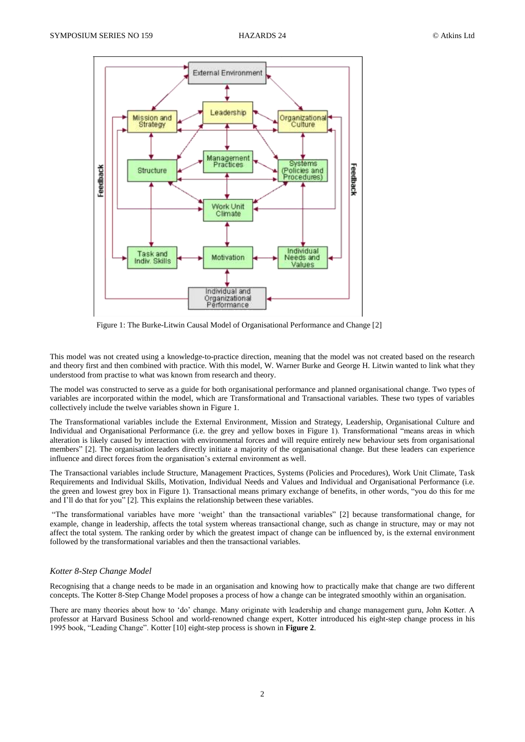

<span id="page-1-0"></span>Figure 1: The Burke-Litwin Causal Model of Organisational Performance and Change [\[2\]](#page-10-1)

This model was not created using a knowledge-to-practice direction, meaning that the model was not created based on the research and theory first and then combined with practice. With this model, W. Warner Burke and George H. Litwin wanted to link what they understood from practise to what was known from research and theory.

The model was constructed to serve as a guide for both organisational performance and planned organisational change. Two types of variables are incorporated within the model, which are Transformational and Transactional variables. These two types of variables collectively include the twelve variables shown in [Figure 1.](#page-1-0)

The Transformational variables include the External Environment, Mission and Strategy, Leadership, Organisational Culture and Individual and Organisational Performance (i.e. the grey and yellow boxes in [Figure 1\)](#page-1-0). Transformational "means areas in which alteration is likely caused by interaction with environmental forces and will require entirely new behaviour sets from organisational members" [\[2\]](#page-10-1). The organisation leaders directly initiate a majority of the organisational change. But these leaders can experience influence and direct forces from the organisation's external environment as well.

The Transactional variables include Structure, Management Practices, Systems (Policies and Procedures), Work Unit Climate, Task Requirements and Individual Skills, Motivation, Individual Needs and Values and Individual and Organisational Performance (i.e. the green and lowest grey box in [Figure 1\)](#page-1-0). Transactional means primary exchange of benefits, in other words, "you do this for me and I'll do that for you" [\[2\]](#page-10-1). This explains the relationship between these variables.

"The transformational variables have more 'weight' than the transactional variables" [\[2\]](#page-10-1) because transformational change, for example, change in leadership, affects the total system whereas transactional change, such as change in structure, may or may not affect the total system. The ranking order by which the greatest impact of change can be influenced by, is the external environment followed by the transformational variables and then the transactional variables.

#### *Kotter 8-Step Change Model*

Recognising that a change needs to be made in an organisation and knowing how to practically make that change are two different concepts. The Kotter 8-Step Change Model proposes a process of how a change can be integrated smoothly within an organisation.

There are many theories about how to 'do' change. Many originate with leadership and change management guru, John Kotter. A professor at Harvard Business School and world-renowned change expert, Kotter introduced his eight-step change process in his 1995 book, "Leading Change". Kotter [\[10\]](#page-10-3) eight-step process is shown in **[Figure 2](#page-2-0)**.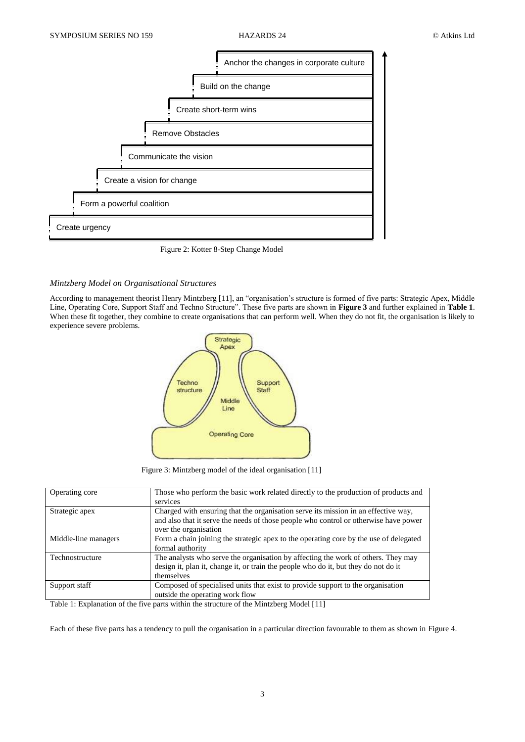

Figure 2: Kotter 8-Step Change Model

## <span id="page-2-0"></span>*Mintzberg Model on Organisational Structures*

According to management theorist Henry Mintzberg [\[11\]](#page-10-4), an "organisation's structure is formed of five parts: Strategic Apex, Middle Line, Operating Core, Support Staff and Techno Structure". These five parts are shown in **[Figure 3](#page-2-1)** and further explained in **[Table 1](#page-2-2)**. When these fit together, they combine to create organisations that can perform well. When they do not fit, the organisation is likely to experience severe problems.



<span id="page-2-1"></span>Figure 3: Mintzberg model of the ideal organisation [\[11\]](#page-10-4)

| Operating core       | Those who perform the basic work related directly to the production of products and                                                                                                    |  |  |
|----------------------|----------------------------------------------------------------------------------------------------------------------------------------------------------------------------------------|--|--|
|                      | services                                                                                                                                                                               |  |  |
| Strategic apex       | Charged with ensuring that the organisation serve its mission in an effective way,                                                                                                     |  |  |
|                      | and also that it serve the needs of those people who control or otherwise have power<br>over the organisation                                                                          |  |  |
| Middle-line managers | Form a chain joining the strategic apex to the operating core by the use of delegated<br>formal authority                                                                              |  |  |
| Technostructure      | The analysts who serve the organisation by affecting the work of others. They may<br>design it, plan it, change it, or train the people who do it, but they do not do it<br>themselves |  |  |
| Support staff        | Composed of specialised units that exist to provide support to the organisation<br>outside the operating work flow                                                                     |  |  |

<span id="page-2-2"></span>Table 1: Explanation of the five parts within the structure of the Mintzberg Model [\[11\]](#page-10-4)

Each of these five parts has a tendency to pull the organisation in a particular direction favourable to them as shown in [Figure 4.](#page-3-0)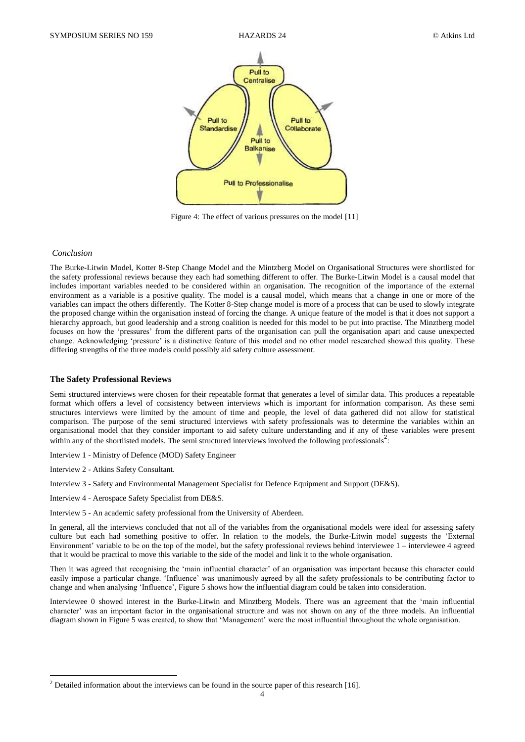

<span id="page-3-0"></span>Figure 4: The effect of various pressures on the model [\[11\]](#page-10-4)

#### *Conclusion*

The Burke-Litwin Model, Kotter 8-Step Change Model and the Mintzberg Model on Organisational Structures were shortlisted for the safety professional reviews because they each had something different to offer. The Burke-Litwin Model is a causal model that includes important variables needed to be considered within an organisation. The recognition of the importance of the external environment as a variable is a positive quality. The model is a causal model, which means that a change in one or more of the variables can impact the others differently. The Kotter 8-Step change model is more of a process that can be used to slowly integrate the proposed change within the organisation instead of forcing the change. A unique feature of the model is that it does not support a hierarchy approach, but good leadership and a strong coalition is needed for this model to be put into practise. The Minztberg model focuses on how the 'pressures' from the different parts of the organisation can pull the organisation apart and cause unexpected change. Acknowledging 'pressure' is a distinctive feature of this model and no other model researched showed this quality. These differing strengths of the three models could possibly aid safety culture assessment.

#### **The Safety Professional Reviews**

Semi structured interviews were chosen for their repeatable format that generates a level of similar data. This produces a repeatable format which offers a level of consistency between interviews which is important for information comparison. As these semi structures interviews were limited by the amount of time and people, the level of data gathered did not allow for statistical comparison. The purpose of the semi structured interviews with safety professionals was to determine the variables within an organisational model that they consider important to aid safety culture understanding and if any of these variables were present within any of the shortlisted models. The semi structured interviews involved the following professionals<sup>2</sup>:

- <span id="page-3-1"></span>Interview 1 - Ministry of Defence (MOD) Safety Engineer
- <span id="page-3-2"></span>Interview 2 - Atkins Safety Consultant.

1

- <span id="page-3-3"></span>Interview 3 - Safety and Environmental Management Specialist for Defence Equipment and Support (DE&S).
- <span id="page-3-4"></span>Interview 4 - Aerospace Safety Specialist from DE&S.
- <span id="page-3-5"></span>Interview 5 - An academic safety professional from the University of Aberdeen.

In general, all the interviews concluded that not all of the variables from the organisational models were ideal for assessing safety culture but each had something positive to offer. In relation to the models, the Burke-Litwin model suggests the 'External Environment' variable to be on the top of the model, but the safety professional reviews behind interviewee 1 – interviewee 4 agreed that it would be practical to move this variable to the side of the model and link it to the whole organisation.

Then it was agreed that recognising the 'main influential character' of an organisation was important because this character could easily impose a particular change. 'Influence' was unanimously agreed by all the safety professionals to be contributing factor to change and when analysing 'Influence'[, Figure 5](#page-4-0) shows how the influential diagram could be taken into consideration.

Interviewee [0](#page-3-1) showed interest in the Burke-Litwin and Minztberg Models. There was an agreement that the 'main influential character' was an important factor in the organisational structure and was not shown on any of the three models. An influential diagram shown i[n Figure 5](#page-4-0) was created, to show that 'Management' were the most influential throughout the whole organisation.

 $2$  Detailed information about the interviews can be found in the source paper of this research [\[16\]](#page-10-5).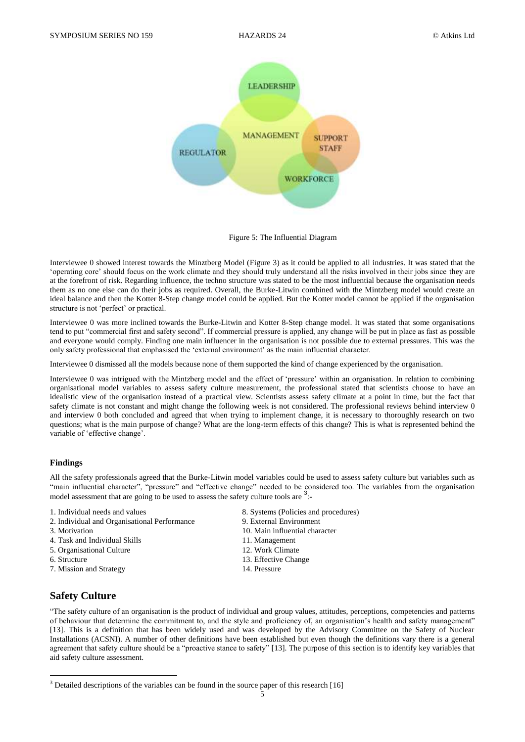

<span id="page-4-0"></span>Figure 5: The Influential Diagram

Interviewee [0](#page-3-2) showed interest towards the Minztberg Model [\(Figure 3\)](#page-2-1) as it could be applied to all industries. It was stated that the 'operating core' should focus on the work climate and they should truly understand all the risks involved in their jobs since they are at the forefront of risk. Regarding influence, the techno structure was stated to be the most influential because the organisation needs them as no one else can do their jobs as required. Overall, the Burke-Litwin combined with the Mintzberg model would create an ideal balance and then the Kotter 8-Step change model could be applied. But the Kotter model cannot be applied if the organisation structure is not 'perfect' or practical.

Interviewee [0](#page-3-3) was more inclined towards the Burke-Litwin and Kotter 8-Step change model. It was stated that some organisations tend to put "commercial first and safety second". If commercial pressure is applied, any change will be put in place as fast as possible and everyone would comply. Finding one main influencer in the organisation is not possible due to external pressures. This was the only safety professional that emphasised the 'external environment' as the main influential character.

Interviewe[e 0](#page-3-4) dismissed all the models because none of them supported the kind of change experienced by the organisation.

Interviewee [0](#page-3-5) was intrigued with the Mintzberg model and the effect of 'pressure' within an organisation. In relation to combining organisational model variables to assess safety culture measurement, the professional stated that scientists choose to have an idealistic view of the organisation instead of a practical view. Scientists assess safety climate at a point in time, but the fact that safety climate is not constant and might change the following week is not considered. The professional reviews behind interview [0](#page-3-4) and interview [0](#page-3-5) both concluded and agreed that when trying to implement change, it is necessary to thoroughly research on two questions; what is the main purpose of change? What are the long-term effects of this change? This is what is represented behind the variable of 'effective change'.

### **Findings**

All the safety professionals agreed that the Burke-Litwin model variables could be used to assess safety culture but variables such as "main influential character", "pressure" and "effective change" needed to be considered too. The variables from the organisation model assessment that are going to be used to assess the safety culture tools are  $3$ .

- 
- 2. Individual and Organisational Performance 9. External Environment
- 
- 4. Task and Individual Skills 11. Management
- 5. Organisational Culture 12. Work Climate
- 

1

- 7. Mission and Strategy 14. Pressure
- **Safety Culture**
- 1. Individual needs and values 8. Systems (Policies and procedures)
	-
- 3. Motivation 10. Main influential character
	-
	-
- 6. Structure 13. Effective Change
	-

"The safety culture of an organisation is the product of individual and group values, attitudes, perceptions, competencies and patterns of behaviour that determine the commitment to, and the style and proficiency of, an organisation's health and safety management" [\[13\]](#page-10-6). This is a definition that has been widely used and was developed by the Advisory Committee on the Safety of Nuclear Installations (ACSNI). A number of other definitions have been established but even though the definitions vary there is a general agreement that safety culture should be a "proactive stance to safety" [\[13\]](#page-10-6). The purpose of this section is to identify key variables that aid safety culture assessment.

<sup>&</sup>lt;sup>3</sup> Detailed descriptions of the variables can be found in the source paper of this research [\[16\]](#page-10-5)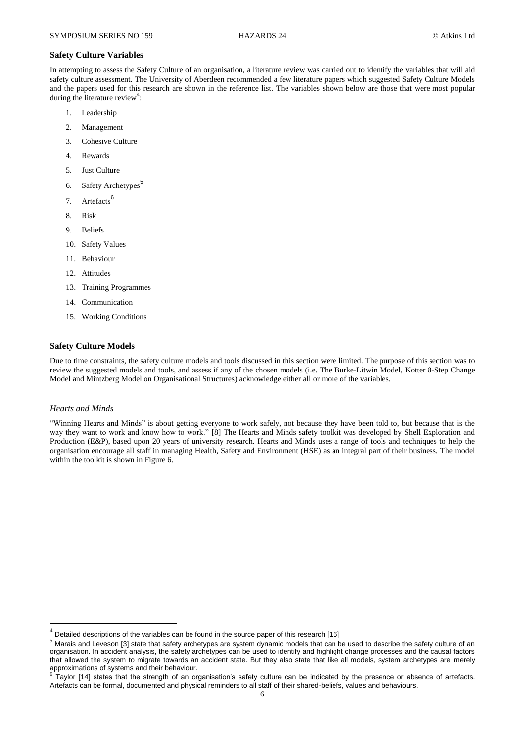#### **Safety Culture Variables**

In attempting to assess the Safety Culture of an organisation, a literature review was carried out to identify the variables that will aid safety culture assessment. The University of Aberdeen recommended a few literature papers which suggested Safety Culture Models and the papers used for this research are shown in the reference list. The variables shown below are those that were most popular during the literature review<sup>4</sup>:

- 1. Leadership
- 2. Management
- 3. Cohesive Culture
- 4. Rewards
- 5. Just Culture
- 6. Safety Archetypes<sup>5</sup>
- 7. Artefacts<sup>6</sup>
- 8. Risk
- 9. Beliefs
- 10. Safety Values
- 11. Behaviour
- 12. Attitudes
- 13. Training Programmes
- 14. Communication
- 15. Working Conditions

#### **Safety Culture Models**

Due to time constraints, the safety culture models and tools discussed in this section were limited. The purpose of this section was to review the suggested models and tools, and assess if any of the chosen models (i.e. The Burke-Litwin Model, Kotter 8-Step Change Model and Mintzberg Model on Organisational Structures) acknowledge either all or more of the variables.

#### *Hearts and Minds*

1

"Winning Hearts and Minds" is about getting everyone to work safely, not because they have been told to, but because that is the way they want to work and know how to work." [\[8\]](#page-10-7) The Hearts and Minds safety toolkit was developed by Shell Exploration and Production (E&P), based upon 20 years of university research. Hearts and Minds uses a range of tools and techniques to help the organisation encourage all staff in managing Health, Safety and Environment (HSE) as an integral part of their business. The model within the toolkit is shown in [Figure 6.](#page-6-0) 

<sup>4</sup> Detailed descriptions of the variables can be found in the source paper of this research [\[16\]](#page-10-5)

<sup>5</sup> Marais and Leveson [\[3\]](#page-10-8) state that safety archetypes are system dynamic models that can be used to describe the safety culture of an organisation. In accident analysis, the safety archetypes can be used to identify and highlight change processes and the causal factors that allowed the system to migrate towards an accident state. But they also state that like all models, system archetypes are merely approximations of systems and their behaviour.

 $6$  Taylor [\[14\]](#page-10-9) states that the strength of an organisation's safety culture can be indicated by the presence or absence of artefacts. Artefacts can be formal, documented and physical reminders to all staff of their shared-beliefs, values and behaviours.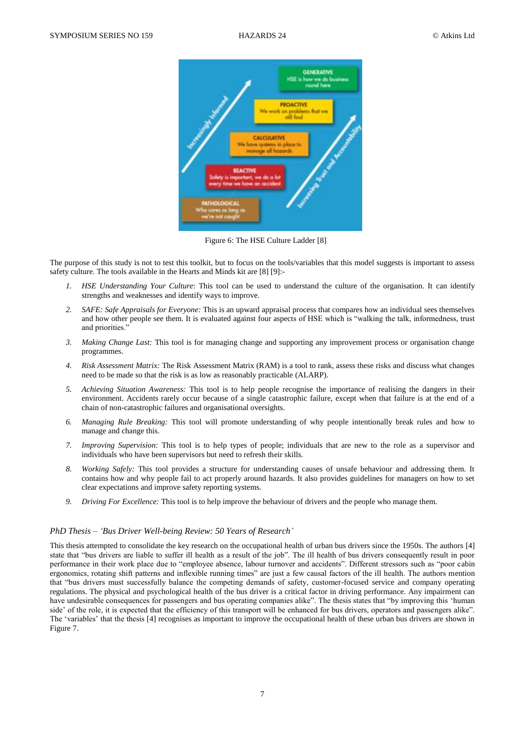

Figure 6: The HSE Culture Ladder [\[8\]](#page-10-7)

The purpose of this study is not to test this toolkit, but to focus on the tools/variables that this model suggests is important to assess safety culture. The tools available in the Hearts and Minds kit are [\[8\]](#page-10-7) [\[9\]](#page-10-10):-

- <span id="page-6-0"></span>*1. HSE Understanding Your Culture*: This tool can be used to understand the culture of the organisation. It can identify strengths and weaknesses and identify ways to improve.
- *2. SAFE: Safe Appraisals for Everyone:* This is an upward appraisal process that compares how an individual sees themselves and how other people see them. It is evaluated against four aspects of HSE which is "walking the talk, informedness, trust and priorities."
- *3. Making Change Last:* This tool is for managing change and supporting any improvement process or organisation change programmes.
- *4. Risk Assessment Matrix:* The Risk Assessment Matrix (RAM) is a tool to rank, assess these risks and discuss what changes need to be made so that the risk is as low as reasonably practicable (ALARP).
- *5. Achieving Situation Awareness:* This tool is to help people recognise the importance of realising the dangers in their environment. Accidents rarely occur because of a single catastrophic failure, except when that failure is at the end of a chain of non-catastrophic failures and organisational oversights.
- *6. Managing Rule Breaking:* This tool will promote understanding of why people intentionally break rules and how to manage and change this.
- *7. Improving Supervision:* This tool is to help types of people; individuals that are new to the role as a supervisor and individuals who have been supervisors but need to refresh their skills.
- *8. Working Safely:* This tool provides a structure for understanding causes of unsafe behaviour and addressing them. It contains how and why people fail to act properly around hazards. It also provides guidelines for managers on how to set clear expectations and improve safety reporting systems.
- *9. Driving For Excellence:* This tool is to help improve the behaviour of drivers and the people who manage them.

#### *PhD Thesis – 'Bus Driver Well-being Review: 50 Years of Research'*

This thesis attempted to consolidate the key research on the occupational health of urban bus drivers since the 1950s. The authors [\[4\]](#page-10-11) state that "bus drivers are liable to suffer ill health as a result of the job". The ill health of bus drivers consequently result in poor performance in their work place due to "employee absence, labour turnover and accidents". Different stressors such as "poor cabin ergonomics, rotating shift patterns and inflexible running times" are just a few causal factors of the ill health. The authors mention that "bus drivers must successfully balance the competing demands of safety, customer-focused service and company operating regulations. The physical and psychological health of the bus driver is a critical factor in driving performance. Any impairment can have undesirable consequences for passengers and bus operating companies alike". The thesis states that "by improving this 'human side' of the role, it is expected that the efficiency of this transport will be enhanced for bus drivers, operators and passengers alike". The 'variables' that the thesis [\[4\]](#page-10-11) recognises as important to improve the occupational health of these urban bus drivers are shown in [Figure 7.](#page-7-0)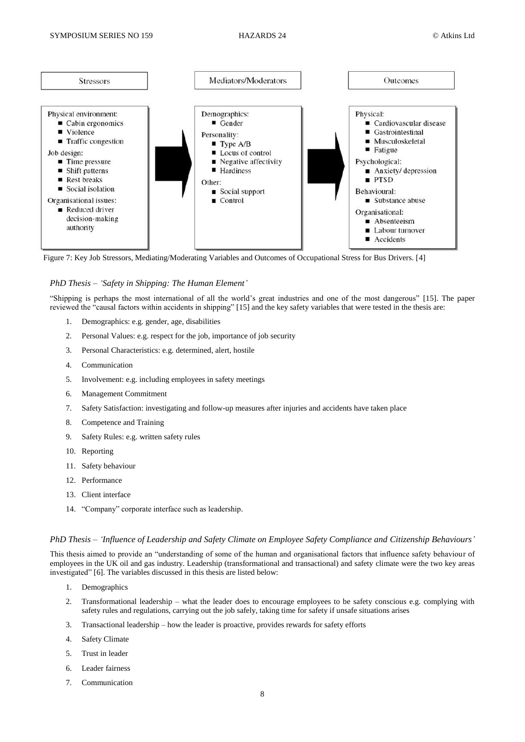

<span id="page-7-0"></span>Figure 7: Key Job Stressors, Mediating/Moderating Variables and Outcomes of Occupational Stress for Bus Drivers. [\[4\]](#page-10-11)

### *PhD Thesis – 'Safety in Shipping: The Human Element'*

"Shipping is perhaps the most international of all the world's great industries and one of the most dangerous" [\[15\]](#page-10-12). The paper reviewed the "causal factors within accidents in shipping" [\[15\]](#page-10-12) and the key safety variables that were tested in the thesis are:

- 1. Demographics: e.g. gender, age, disabilities
- 2. Personal Values: e.g. respect for the job, importance of job security
- 3. Personal Characteristics: e.g. determined, alert, hostile
- 4. Communication
- 5. Involvement: e.g. including employees in safety meetings
- 6. Management Commitment
- 7. Safety Satisfaction: investigating and follow-up measures after injuries and accidents have taken place
- 8. Competence and Training
- 9. Safety Rules: e.g. written safety rules
- 10. Reporting
- 11. Safety behaviour
- 12. Performance
- 13. Client interface
- 14. "Company" corporate interface such as leadership.

### *PhD Thesis – 'Influence of Leadership and Safety Climate on Employee Safety Compliance and Citizenship Behaviours'*

This thesis aimed to provide an "understanding of some of the human and organisational factors that influence safety behaviour of employees in the UK oil and gas industry. Leadership (transformational and transactional) and safety climate were the two key areas investigated" [\[6\]](#page-10-13). The variables discussed in this thesis are listed below:

- 1. Demographics
- 2. Transformational leadership what the leader does to encourage employees to be safety conscious e.g. complying with safety rules and regulations, carrying out the job safely, taking time for safety if unsafe situations arises
- 3. Transactional leadership how the leader is proactive, provides rewards for safety efforts
- 4. Safety Climate
- 5. Trust in leader
- 6. Leader fairness
- 7. Communication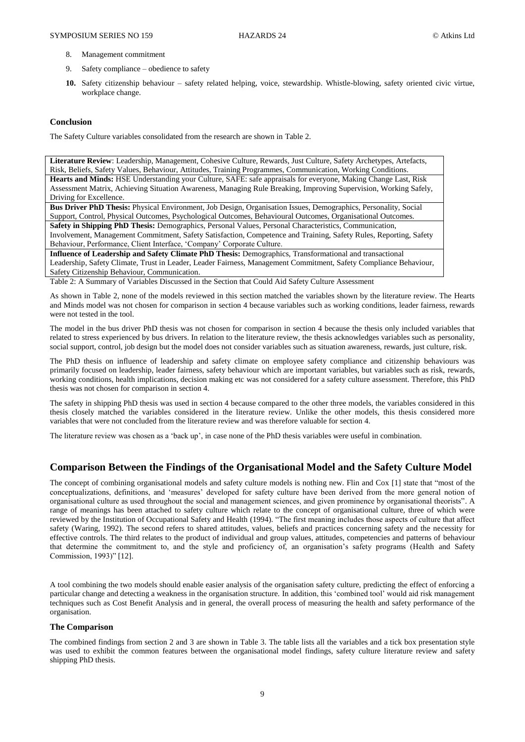- 8. Management commitment
- 9. Safety compliance obedience to safety
- **10.** Safety citizenship behaviour safety related helping, voice, stewardship. Whistle-blowing, safety oriented civic virtue, workplace change.

## **Conclusion**

The Safety Culture variables consolidated from the research are shown in [Table 2.](#page-8-0) 

**Literature Review**: Leadership, Management, Cohesive Culture, Rewards, Just Culture, Safety Archetypes, Artefacts, Risk, Beliefs, Safety Values, Behaviour, Attitudes, Training Programmes, Communication, Working Conditions. **Hearts and Minds:** HSE Understanding your Culture, SAFE: safe appraisals for everyone, Making Change Last, Risk Assessment Matrix, Achieving Situation Awareness, Managing Rule Breaking, Improving Supervision, Working Safely, Driving for Excellence.

**Bus Driver PhD Thesis:** Physical Environment, Job Design, Organisation Issues, Demographics, Personality, Social Support, Control, Physical Outcomes, Psychological Outcomes, Behavioural Outcomes, Organisational Outcomes.

**Safety in Shipping PhD Thesis:** Demographics, Personal Values, Personal Characteristics, Communication, Involvement, Management Commitment, Safety Satisfaction, Competence and Training, Safety Rules, Reporting, Safety Behaviour, Performance, Client Interface, 'Company' Corporate Culture.

**Influence of Leadership and Safety Climate PhD Thesis:** Demographics, Transformational and transactional Leadership, Safety Climate, Trust in Leader, Leader Fairness, Management Commitment, Safety Compliance Behaviour, Safety Citizenship Behaviour, Communication.

<span id="page-8-0"></span>Table 2: A Summary of Variables Discussed in the Section that Could Aid Safety Culture Assessment

As shown in [Table 2,](#page-8-0) none of the models reviewed in this section matched the variables shown by the literature review. The Hearts and Minds model was not chosen for comparison in section 4 because variables such as working conditions, leader fairness, rewards were not tested in the tool.

The model in the bus driver PhD thesis was not chosen for comparison in section 4 because the thesis only included variables that related to stress experienced by bus drivers. In relation to the literature review, the thesis acknowledges variables such as personality, social support, control, job design but the model does not consider variables such as situation awareness, rewards, just culture, risk.

The PhD thesis on influence of leadership and safety climate on employee safety compliance and citizenship behaviours was primarily focused on leadership, leader fairness, safety behaviour which are important variables, but variables such as risk, rewards, working conditions, health implications, decision making etc was not considered for a safety culture assessment. Therefore, this PhD thesis was not chosen for comparison in section 4.

The safety in shipping PhD thesis was used in section 4 because compared to the other three models, the variables considered in this thesis closely matched the variables considered in the literature review. Unlike the other models, this thesis considered more variables that were not concluded from the literature review and was therefore valuable for section 4.

The literature review was chosen as a 'back up', in case none of the PhD thesis variables were useful in combination.

## **Comparison Between the Findings of the Organisational Model and the Safety Culture Model**

The concept of combining organisational models and safety culture models is nothing new. Flin and Cox [\[1\]](#page-10-14) state that "most of the conceptualizations, definitions, and 'measures' developed for safety culture have been derived from the more general notion of organisational culture as used throughout the social and management sciences, and given prominence by organisational theorists". A range of meanings has been attached to safety culture which relate to the concept of organisational culture, three of which were reviewed by the Institution of Occupational Safety and Health (1994). "The first meaning includes those aspects of culture that affect safety (Waring, 1992). The second refers to shared attitudes, values, beliefs and practices concerning safety and the necessity for effective controls. The third relates to the product of individual and group values, attitudes, competencies and patterns of behaviour that determine the commitment to, and the style and proficiency of, an organisation's safety programs (Health and Safety Commission, 1993)" [\[12\]](#page-10-15).

A tool combining the two models should enable easier analysis of the organisation safety culture, predicting the effect of enforcing a particular change and detecting a weakness in the organisation structure. In addition, this 'combined tool' would aid risk management techniques such as Cost Benefit Analysis and in general, the overall process of measuring the health and safety performance of the organisation.

#### **The Comparison**

The combined findings from section 2 and 3 are shown in [Table 3.](#page-9-0) The table lists all the variables and a tick box presentation style was used to exhibit the common features between the organisational model findings, safety culture literature review and safety shipping PhD thesis.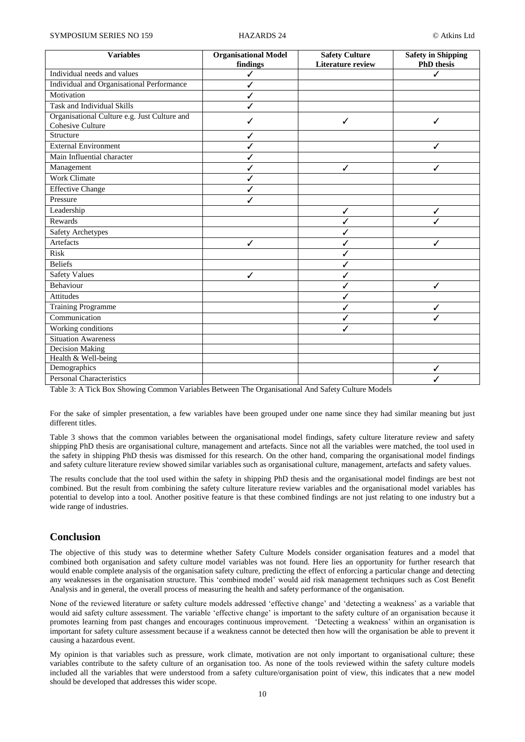| <b>Variables</b>                             | <b>Organisational Model</b> | <b>Safety Culture</b>    | <b>Safety in Shipping</b> |
|----------------------------------------------|-----------------------------|--------------------------|---------------------------|
|                                              | findings                    | <b>Literature review</b> | <b>PhD</b> thesis         |
| Individual needs and values                  | ✓                           |                          | ✓                         |
| Individual and Organisational Performance    | ✓                           |                          |                           |
| Motivation                                   | ✓                           |                          |                           |
| Task and Individual Skills                   | ✓                           |                          |                           |
| Organisational Culture e.g. Just Culture and | ✓                           | ✓                        | ✓                         |
| Cohesive Culture                             |                             |                          |                           |
| Structure                                    | ✓                           |                          |                           |
| <b>External Environment</b>                  | ✓                           |                          | ✓                         |
| Main Influential character                   | ✓                           |                          |                           |
| Management                                   | ✓                           | ✓                        | ✓                         |
| <b>Work Climate</b>                          | ✓                           |                          |                           |
| <b>Effective Change</b>                      | ✓                           |                          |                           |
| Pressure                                     | ✓                           |                          |                           |
| Leadership                                   |                             | ✓                        | ✓                         |
| Rewards                                      |                             | ✓                        |                           |
| <b>Safety Archetypes</b>                     |                             | ✓                        |                           |
| Artefacts                                    | ✓                           | ✓                        | ✓                         |
| Risk                                         |                             | ✓                        |                           |
| <b>Beliefs</b>                               |                             | ✓                        |                           |
| <b>Safety Values</b>                         | ✓                           | $\checkmark$             |                           |
| Behaviour                                    |                             | ✓                        | ✓                         |
| <b>Attitudes</b>                             |                             | ✓                        |                           |
| <b>Training Programme</b>                    |                             | ✓                        | ✓                         |
| Communication                                |                             | ✓                        | ✓                         |
| Working conditions                           |                             | ✓                        |                           |
| <b>Situation Awareness</b>                   |                             |                          |                           |
| <b>Decision Making</b>                       |                             |                          |                           |
| Health & Well-being                          |                             |                          |                           |
| Demographics                                 |                             |                          | ✓                         |
| <b>Personal Characteristics</b>              |                             |                          |                           |

<span id="page-9-0"></span>Table 3: A Tick Box Showing Common Variables Between The Organisational And Safety Culture Models

For the sake of simpler presentation, a few variables have been grouped under one name since they had similar meaning but just different titles.

[Table 3](#page-9-0) shows that the common variables between the organisational model findings, safety culture literature review and safety shipping PhD thesis are organisational culture, management and artefacts. Since not all the variables were matched, the tool used in the safety in shipping PhD thesis was dismissed for this research. On the other hand, comparing the organisational model findings and safety culture literature review showed similar variables such as organisational culture, management, artefacts and safety values.

The results conclude that the tool used within the safety in shipping PhD thesis and the organisational model findings are best not combined. But the result from combining the safety culture literature review variables and the organisational model variables has potential to develop into a tool. Another positive feature is that these combined findings are not just relating to one industry but a wide range of industries.

## **Conclusion**

The objective of this study was to determine whether Safety Culture Models consider organisation features and a model that combined both organisation and safety culture model variables was not found. Here lies an opportunity for further research that would enable complete analysis of the organisation safety culture, predicting the effect of enforcing a particular change and detecting any weaknesses in the organisation structure. This 'combined model' would aid risk management techniques such as Cost Benefit Analysis and in general, the overall process of measuring the health and safety performance of the organisation.

None of the reviewed literature or safety culture models addressed 'effective change' and 'detecting a weakness' as a variable that would aid safety culture assessment. The variable 'effective change' is important to the safety culture of an organisation because it promotes learning from past changes and encourages continuous improvement. 'Detecting a weakness' within an organisation is important for safety culture assessment because if a weakness cannot be detected then how will the organisation be able to prevent it causing a hazardous event.

My opinion is that variables such as pressure, work climate, motivation are not only important to organisational culture; these variables contribute to the safety culture of an organisation too. As none of the tools reviewed within the safety culture models included all the variables that were understood from a safety culture/organisation point of view, this indicates that a new model should be developed that addresses this wider scope.